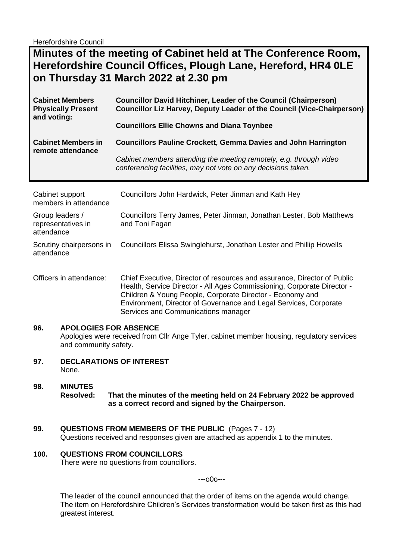Herefordshire Council

# **Minutes of the meeting of Cabinet held at The Conference Room, Herefordshire Council Offices, Plough Lane, Hereford, HR4 0LE on Thursday 31 March 2022 at 2.30 pm**

| <b>Cabinet Members</b>                         | <b>Councillor David Hitchiner, Leader of the Council (Chairperson)</b>                                                                                                                                       |
|------------------------------------------------|--------------------------------------------------------------------------------------------------------------------------------------------------------------------------------------------------------------|
| <b>Physically Present</b>                      | Councillor Liz Harvey, Deputy Leader of the Council (Vice-Chairperson)                                                                                                                                       |
| and voting:                                    | <b>Councillors Ellie Chowns and Diana Toynbee</b>                                                                                                                                                            |
| <b>Cabinet Members in</b><br>remote attendance | <b>Councillors Pauline Crockett, Gemma Davies and John Harrington</b><br>Cabinet members attending the meeting remotely, e.g. through video<br>conferencing facilities, may not vote on any decisions taken. |

| Cabinet support<br>members in attendance            | Councillors John Hardwick, Peter Jinman and Kath Hey                                                                                                                                                             |
|-----------------------------------------------------|------------------------------------------------------------------------------------------------------------------------------------------------------------------------------------------------------------------|
| Group leaders /<br>representatives in<br>attendance | Councillors Terry James, Peter Jinman, Jonathan Lester, Bob Matthews<br>and Toni Fagan                                                                                                                           |
| Scrutiny chairpersons in<br>attendance              | Councillors Elissa Swinglehurst, Jonathan Lester and Phillip Howells                                                                                                                                             |
| Officers in attendance:                             | Chief Executive, Director of resources and assurance, Director of Public<br>Health, Service Director - All Ages Commissioning, Corporate Director -<br>Children 9 Vauga Deeple, Corporato Director, Economic and |

Children & Young People, Corporate Director - Economy and Environment, Director of Governance and Legal Services, Corporate Services and Communications manager

#### **96. APOLOGIES FOR ABSENCE**

Apologies were received from Cllr Ange Tyler, cabinet member housing, regulatory services and community safety.

**97. DECLARATIONS OF INTEREST**  None.

#### **98. MINUTES Resolved: That the minutes of the meeting held on 24 February 2022 be approved as a correct record and signed by the Chairperson.**

**99. QUESTIONS FROM MEMBERS OF THE PUBLIC** (Pages 7 - 12)

Questions received and responses given are attached as appendix 1 to the minutes.

#### **100. QUESTIONS FROM COUNCILLORS**

There were no questions from councillors.

---o0o---

The leader of the council announced that the order of items on the agenda would change. The item on Herefordshire Children's Services transformation would be taken first as this had greatest interest.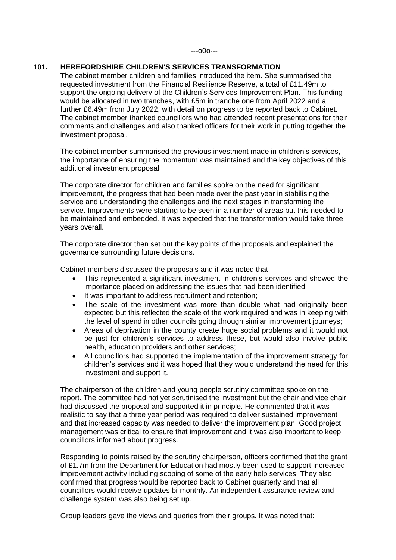#### **101. HEREFORDSHIRE CHILDREN'S SERVICES TRANSFORMATION**

The cabinet member children and families introduced the item. She summarised the requested investment from the Financial Resilience Reserve, a total of £11.49m to support the ongoing delivery of the Children's Services Improvement Plan. This funding would be allocated in two tranches, with £5m in tranche one from April 2022 and a further £6.49m from July 2022, with detail on progress to be reported back to Cabinet. The cabinet member thanked councillors who had attended recent presentations for their comments and challenges and also thanked officers for their work in putting together the investment proposal.

The cabinet member summarised the previous investment made in children's services, the importance of ensuring the momentum was maintained and the key objectives of this additional investment proposal.

The corporate director for children and families spoke on the need for significant improvement, the progress that had been made over the past year in stabilising the service and understanding the challenges and the next stages in transforming the service. Improvements were starting to be seen in a number of areas but this needed to be maintained and embedded. It was expected that the transformation would take three years overall.

The corporate director then set out the key points of the proposals and explained the governance surrounding future decisions.

Cabinet members discussed the proposals and it was noted that:

- This represented a significant investment in children's services and showed the importance placed on addressing the issues that had been identified;
- It was important to address recruitment and retention:
- The scale of the investment was more than double what had originally been expected but this reflected the scale of the work required and was in keeping with the level of spend in other councils going through similar improvement journeys;
- Areas of deprivation in the county create huge social problems and it would not be just for children's services to address these, but would also involve public health, education providers and other services;
- All councillors had supported the implementation of the improvement strategy for children's services and it was hoped that they would understand the need for this investment and support it.

The chairperson of the children and young people scrutiny committee spoke on the report. The committee had not yet scrutinised the investment but the chair and vice chair had discussed the proposal and supported it in principle. He commented that it was realistic to say that a three year period was required to deliver sustained improvement and that increased capacity was needed to deliver the improvement plan. Good project management was critical to ensure that improvement and it was also important to keep councillors informed about progress.

Responding to points raised by the scrutiny chairperson, officers confirmed that the grant of £1.7m from the Department for Education had mostly been used to support increased improvement activity including scoping of some of the early help services. They also confirmed that progress would be reported back to Cabinet quarterly and that all councillors would receive updates bi-monthly. An independent assurance review and challenge system was also being set up.

Group leaders gave the views and queries from their groups. It was noted that: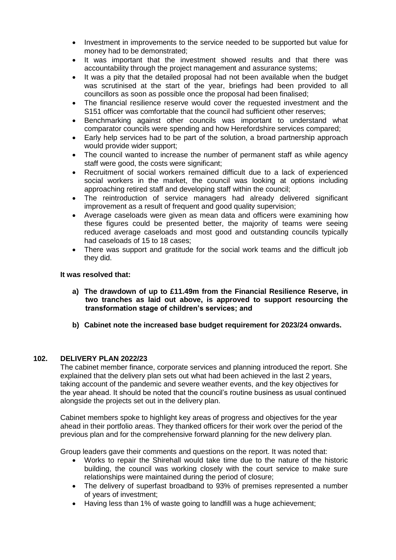- Investment in improvements to the service needed to be supported but value for money had to be demonstrated;
- It was important that the investment showed results and that there was accountability through the project management and assurance systems;
- It was a pity that the detailed proposal had not been available when the budget was scrutinised at the start of the year, briefings had been provided to all councillors as soon as possible once the proposal had been finalised;
- The financial resilience reserve would cover the requested investment and the S151 officer was comfortable that the council had sufficient other reserves;
- Benchmarking against other councils was important to understand what comparator councils were spending and how Herefordshire services compared;
- Early help services had to be part of the solution, a broad partnership approach would provide wider support;
- The council wanted to increase the number of permanent staff as while agency staff were good, the costs were significant;
- Recruitment of social workers remained difficult due to a lack of experienced social workers in the market, the council was looking at options including approaching retired staff and developing staff within the council;
- The reintroduction of service managers had already delivered significant improvement as a result of frequent and good quality supervision;
- Average caseloads were given as mean data and officers were examining how these figures could be presented better, the majority of teams were seeing reduced average caseloads and most good and outstanding councils typically had caseloads of 15 to 18 cases;
- There was support and gratitude for the social work teams and the difficult job they did.

#### **It was resolved that:**

- **a) The drawdown of up to £11.49m from the Financial Resilience Reserve, in two tranches as laid out above, is approved to support resourcing the transformation stage of children's services; and**
- **b) Cabinet note the increased base budget requirement for 2023/24 onwards.**

## **102. DELIVERY PLAN 2022/23**

The cabinet member finance, corporate services and planning introduced the report. She explained that the delivery plan sets out what had been achieved in the last 2 years, taking account of the pandemic and severe weather events, and the key objectives for the year ahead. It should be noted that the council's routine business as usual continued alongside the projects set out in the delivery plan.

Cabinet members spoke to highlight key areas of progress and objectives for the year ahead in their portfolio areas. They thanked officers for their work over the period of the previous plan and for the comprehensive forward planning for the new delivery plan.

Group leaders gave their comments and questions on the report. It was noted that:

- Works to repair the Shirehall would take time due to the nature of the historic building, the council was working closely with the court service to make sure relationships were maintained during the period of closure;
- The delivery of superfast broadband to 93% of premises represented a number of years of investment;
- Having less than 1% of waste going to landfill was a huge achievement;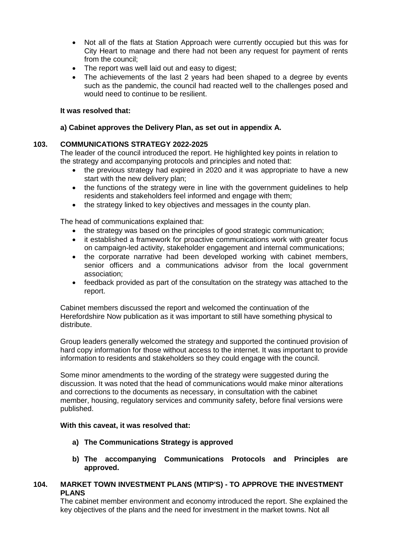- Not all of the flats at Station Approach were currently occupied but this was for City Heart to manage and there had not been any request for payment of rents from the council;
- The report was well laid out and easy to digest;
- The achievements of the last 2 years had been shaped to a degree by events such as the pandemic, the council had reacted well to the challenges posed and would need to continue to be resilient.

#### **It was resolved that:**

#### **a) Cabinet approves the Delivery Plan, as set out in appendix A.**

## **103. COMMUNICATIONS STRATEGY 2022-2025**

The leader of the council introduced the report. He highlighted key points in relation to the strategy and accompanying protocols and principles and noted that:

- the previous strategy had expired in 2020 and it was appropriate to have a new start with the new delivery plan;
- the functions of the strategy were in line with the government guidelines to help residents and stakeholders feel informed and engage with them;
- the strategy linked to key objectives and messages in the county plan.

The head of communications explained that:

- the strategy was based on the principles of good strategic communication;
- it established a framework for proactive communications work with greater focus on campaign-led activity, stakeholder engagement and internal communications;
- the corporate narrative had been developed working with cabinet members, senior officers and a communications advisor from the local government association;
- feedback provided as part of the consultation on the strategy was attached to the report.

Cabinet members discussed the report and welcomed the continuation of the Herefordshire Now publication as it was important to still have something physical to distribute.

Group leaders generally welcomed the strategy and supported the continued provision of hard copy information for those without access to the internet. It was important to provide information to residents and stakeholders so they could engage with the council.

Some minor amendments to the wording of the strategy were suggested during the discussion. It was noted that the head of communications would make minor alterations and corrections to the documents as necessary, in consultation with the cabinet member, housing, regulatory services and community safety, before final versions were published.

#### **With this caveat, it was resolved that:**

- **a) The Communications Strategy is approved**
- **b) The accompanying Communications Protocols and Principles are approved.**

## **104. MARKET TOWN INVESTMENT PLANS (MTIP'S) - TO APPROVE THE INVESTMENT PLANS**

The cabinet member environment and economy introduced the report. She explained the key objectives of the plans and the need for investment in the market towns. Not all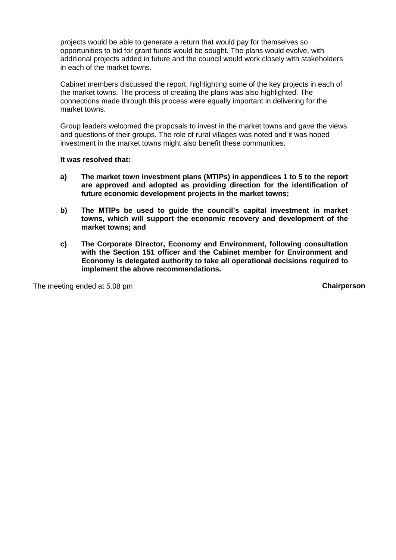projects would be able to generate a return that would pay for themselves so opportunities to bid for grant funds would be sought. The plans would evolve, with additional projects added in future and the council would work closely with stakeholders in each of the market towns.

Cabinet members discussed the report, highlighting some of the key projects in each of the market towns. The process of creating the plans was also highlighted. The connections made through this process were equally important in delivering for the market towns.

Group leaders welcomed the proposals to invest in the market towns and gave the views and questions of their groups. The role of rural villages was noted and it was hoped investment in the market towns might also benefit these communities.

#### **It was resolved that:**

- **a) The market town investment plans (MTIPs) in appendices 1 to 5 to the report are approved and adopted as providing direction for the identification of future economic development projects in the market towns;**
- **b) The MTIPs be used to guide the council's capital investment in market towns, which will support the economic recovery and development of the market towns; and**
- **c) The Corporate Director, Economy and Environment, following consultation with the Section 151 officer and the Cabinet member for Environment and Economy is delegated authority to take all operational decisions required to implement the above recommendations.**

The meeting ended at 5.08 pm **Chairperson**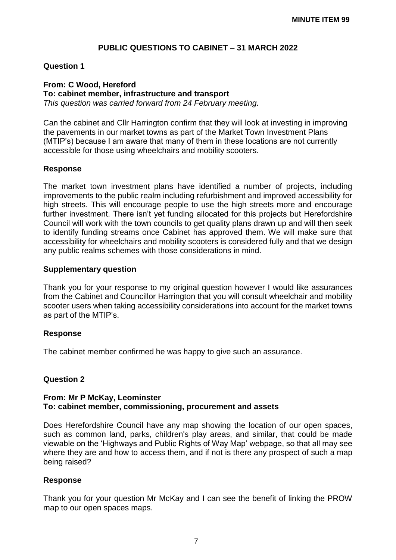# **PUBLIC QUESTIONS TO CABINET – 31 MARCH 2022**

## **Question 1**

## **From: C Wood, Hereford**

#### **To: cabinet member, infrastructure and transport**

*This question was carried forward from 24 February meeting.*

Can the cabinet and Cllr Harrington confirm that they will look at investing in improving the pavements in our market towns as part of the Market Town Investment Plans (MTIP's) because I am aware that many of them in these locations are not currently accessible for those using wheelchairs and mobility scooters.

## **Response**

The market town investment plans have identified a number of projects, including improvements to the public realm including refurbishment and improved accessibility for high streets. This will encourage people to use the high streets more and encourage further investment. There isn't yet funding allocated for this projects but Herefordshire Council will work with the town councils to get quality plans drawn up and will then seek to identify funding streams once Cabinet has approved them. We will make sure that accessibility for wheelchairs and mobility scooters is considered fully and that we design any public realms schemes with those considerations in mind.

## **Supplementary question**

Thank you for your response to my original question however I would like assurances from the Cabinet and Councillor Harrington that you will consult wheelchair and mobility scooter users when taking accessibility considerations into account for the market towns as part of the MTIP's.

## **Response**

The cabinet member confirmed he was happy to give such an assurance.

## **Question 2**

## **From: Mr P McKay, Leominster To: cabinet member, commissioning, procurement and assets**

Does Herefordshire Council have any map showing the location of our open spaces, such as common land, parks, children's play areas, and similar, that could be made viewable on the 'Highways and Public Rights of Way Map' webpage, so that all may see where they are and how to access them, and if not is there any prospect of such a map being raised?

## **Response**

Thank you for your question Mr McKay and I can see the benefit of linking the PROW map to our open spaces maps.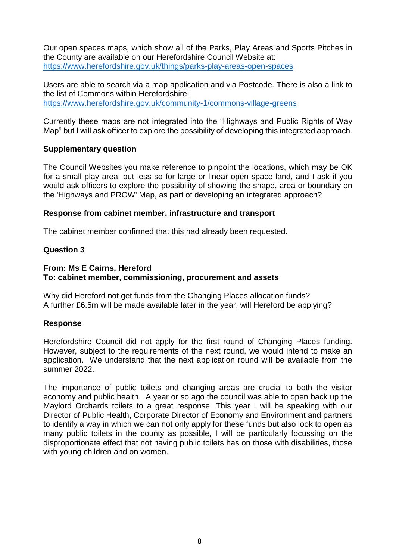Our open spaces maps, which show all of the Parks, Play Areas and Sports Pitches in the County are available on our Herefordshire Council Website at: <https://www.herefordshire.gov.uk/things/parks-play-areas-open-spaces>

Users are able to search via a map application and via Postcode. There is also a link to the list of Commons within Herefordshire: <https://www.herefordshire.gov.uk/community-1/commons-village-greens>

Currently these maps are not integrated into the "Highways and Public Rights of Way Map" but I will ask officer to explore the possibility of developing this integrated approach.

# **Supplementary question**

The Council Websites you make reference to pinpoint the locations, which may be OK for a small play area, but less so for large or linear open space land, and I ask if you would ask officers to explore the possibility of showing the shape, area or boundary on the 'Highways and PROW' Map, as part of developing an integrated approach?

# **Response from cabinet member, infrastructure and transport**

The cabinet member confirmed that this had already been requested.

# **Question 3**

# **From: Ms E Cairns, Hereford To: cabinet member, commissioning, procurement and assets**

Why did Hereford not get funds from the Changing Places allocation funds? A further £6.5m will be made available later in the year, will Hereford be applying?

# **Response**

Herefordshire Council did not apply for the first round of Changing Places funding. However, subject to the requirements of the next round, we would intend to make an application. We understand that the next application round will be available from the summer 2022.

The importance of public toilets and changing areas are crucial to both the visitor economy and public health. A year or so ago the council was able to open back up the Maylord Orchards toilets to a great response. This year I will be speaking with our Director of Public Health, Corporate Director of Economy and Environment and partners to identify a way in which we can not only apply for these funds but also look to open as many public toilets in the county as possible, I will be particularly focussing on the disproportionate effect that not having public toilets has on those with disabilities, those with young children and on women.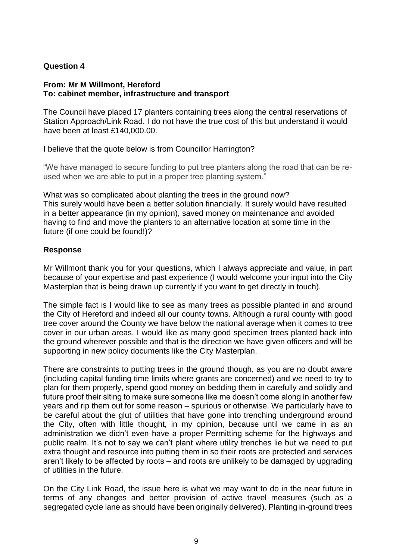# **Question 4**

## **From: Mr M Willmont, Hereford To: cabinet member, infrastructure and transport**

The Council have placed 17 planters containing trees along the central reservations of Station Approach/Link Road. I do not have the true cost of this but understand it would have been at least £140,000.00.

I believe that the quote below is from Councillor Harrington?

"We have managed to secure funding to put tree planters along the road that can be reused when we are able to put in a proper tree planting system."

What was so complicated about planting the trees in the ground now? This surely would have been a better solution financially. It surely would have resulted in a better appearance (in my opinion), saved money on maintenance and avoided having to find and move the planters to an alternative location at some time in the future (if one could be found!)?

# **Response**

Mr Willmont thank you for your questions, which I always appreciate and value, in part because of your expertise and past experience (I would welcome your input into the City Masterplan that is being drawn up currently if you want to get directly in touch).

The simple fact is I would like to see as many trees as possible planted in and around the City of Hereford and indeed all our county towns. Although a rural county with good tree cover around the County we have below the national average when it comes to tree cover in our urban areas. I would like as many good specimen trees planted back into the ground wherever possible and that is the direction we have given officers and will be supporting in new policy documents like the City Masterplan.

There are constraints to putting trees in the ground though, as you are no doubt aware (including capital funding time limits where grants are concerned) and we need to try to plan for them properly, spend good money on bedding them in carefully and solidly and future proof their siting to make sure someone like me doesn't come along in another few years and rip them out for some reason – spurious or otherwise. We particularly have to be careful about the glut of utilities that have gone into trenching underground around the City, often with little thought, in my opinion, because until we came in as an administration we didn't even have a proper Permitting scheme for the highways and public realm. It's not to say we can't plant where utility trenches lie but we need to put extra thought and resource into putting them in so their roots are protected and services aren't likely to be affected by roots – and roots are unlikely to be damaged by upgrading of utilities in the future.

On the City Link Road, the issue here is what we may want to do in the near future in terms of any changes and better provision of active travel measures (such as a segregated cycle lane as should have been originally delivered). Planting in-ground trees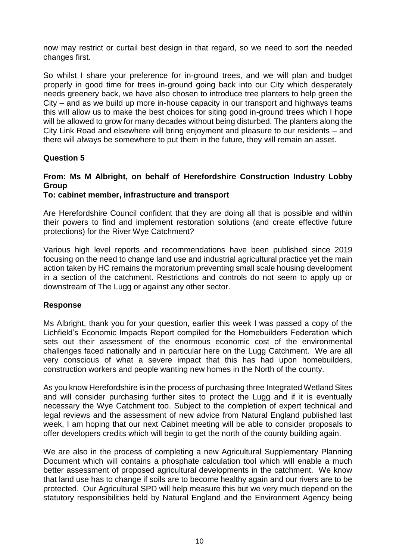now may restrict or curtail best design in that regard, so we need to sort the needed changes first.

So whilst I share your preference for in-ground trees, and we will plan and budget properly in good time for trees in-ground going back into our City which desperately needs greenery back, we have also chosen to introduce tree planters to help green the City – and as we build up more in-house capacity in our transport and highways teams this will allow us to make the best choices for siting good in-ground trees which I hope will be allowed to grow for many decades without being disturbed. The planters along the City Link Road and elsewhere will bring enjoyment and pleasure to our residents – and there will always be somewhere to put them in the future, they will remain an asset.

# **Question 5**

# **From: Ms M Albright, on behalf of Herefordshire Construction Industry Lobby Group**

# **To: cabinet member, infrastructure and transport**

Are Herefordshire Council confident that they are doing all that is possible and within their powers to find and implement restoration solutions (and create effective future protections) for the River Wye Catchment?

Various high level reports and recommendations have been published since 2019 focusing on the need to change land use and industrial agricultural practice yet the main action taken by HC remains the moratorium preventing small scale housing development in a section of the catchment. Restrictions and controls do not seem to apply up or downstream of The Lugg or against any other sector.

# **Response**

Ms Albright, thank you for your question, earlier this week I was passed a copy of the Lichfield's Economic Impacts Report compiled for the Homebuilders Federation which sets out their assessment of the enormous economic cost of the environmental challenges faced nationally and in particular here on the Lugg Catchment. We are all very conscious of what a severe impact that this has had upon homebuilders, construction workers and people wanting new homes in the North of the county.

As you know Herefordshire is in the process of purchasing three Integrated Wetland Sites and will consider purchasing further sites to protect the Lugg and if it is eventually necessary the Wye Catchment too. Subject to the completion of expert technical and legal reviews and the assessment of new advice from Natural England published last week, I am hoping that our next Cabinet meeting will be able to consider proposals to offer developers credits which will begin to get the north of the county building again.

We are also in the process of completing a new Agricultural Supplementary Planning Document which will contains a phosphate calculation tool which will enable a much better assessment of proposed agricultural developments in the catchment. We know that land use has to change if soils are to become healthy again and our rivers are to be protected. Our Agricultural SPD will help measure this but we very much depend on the statutory responsibilities held by Natural England and the Environment Agency being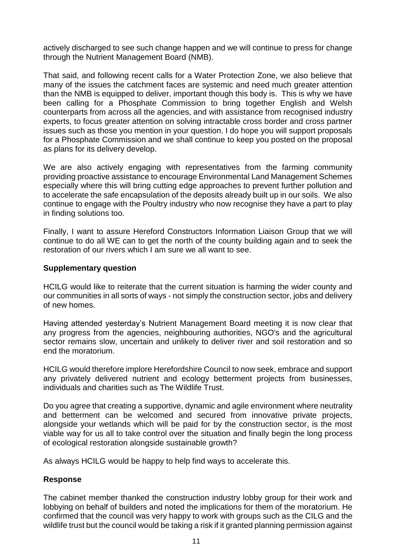actively discharged to see such change happen and we will continue to press for change through the Nutrient Management Board (NMB).

That said, and following recent calls for a Water Protection Zone, we also believe that many of the issues the catchment faces are systemic and need much greater attention than the NMB is equipped to deliver, important though this body is. This is why we have been calling for a Phosphate Commission to bring together English and Welsh counterparts from across all the agencies, and with assistance from recognised industry experts, to focus greater attention on solving intractable cross border and cross partner issues such as those you mention in your question. I do hope you will support proposals for a Phosphate Commission and we shall continue to keep you posted on the proposal as plans for its delivery develop.

We are also actively engaging with representatives from the farming community providing proactive assistance to encourage Environmental Land Management Schemes especially where this will bring cutting edge approaches to prevent further pollution and to accelerate the safe encapsulation of the deposits already built up in our soils. We also continue to engage with the Poultry industry who now recognise they have a part to play in finding solutions too.

Finally, I want to assure Hereford Constructors Information Liaison Group that we will continue to do all WE can to get the north of the county building again and to seek the restoration of our rivers which I am sure we all want to see.

## **Supplementary question**

HCILG would like to reiterate that the current situation is harming the wider county and our communities in all sorts of ways - not simply the construction sector, jobs and delivery of new homes.

Having attended yesterday's Nutrient Management Board meeting it is now clear that any progress from the agencies, neighbouring authorities, NGO's and the agricultural sector remains slow, uncertain and unlikely to deliver river and soil restoration and so end the moratorium.

HCILG would therefore implore Herefordshire Council to now seek, embrace and support any privately delivered nutrient and ecology betterment projects from businesses, individuals and charities such as The Wildlife Trust.

Do you agree that creating a supportive, dynamic and agile environment where neutrality and betterment can be welcomed and secured from innovative private projects, alongside your wetlands which will be paid for by the construction sector, is the most viable way for us all to take control over the situation and finally begin the long process of ecological restoration alongside sustainable growth?

As always HCILG would be happy to help find ways to accelerate this.

# **Response**

The cabinet member thanked the construction industry lobby group for their work and lobbying on behalf of builders and noted the implications for them of the moratorium. He confirmed that the council was very happy to work with groups such as the CILG and the wildlife trust but the council would be taking a risk if it granted planning permission against